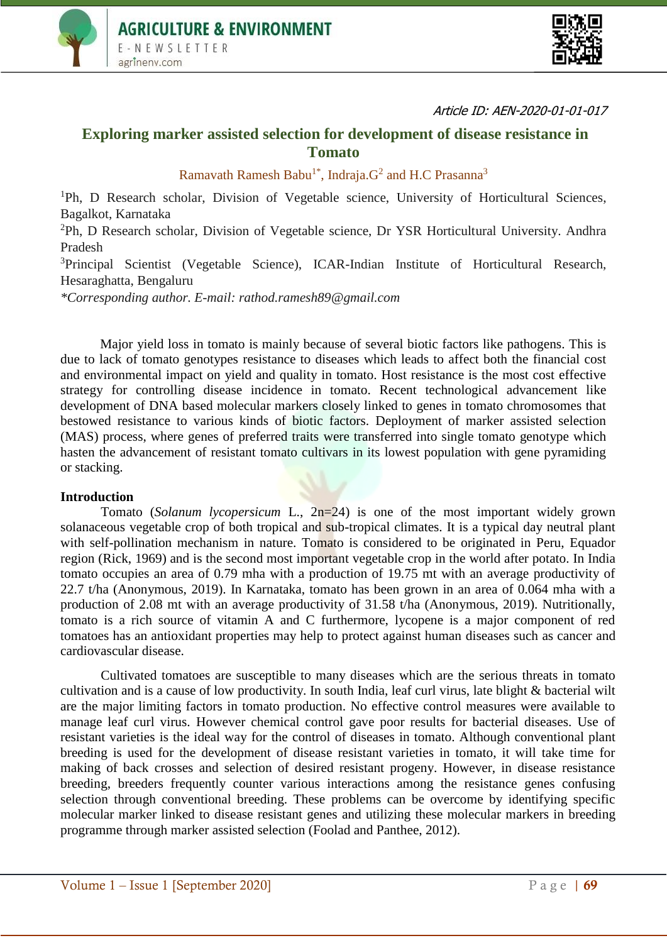



#### Article ID: AEN-2020-01-01-017

# **Exploring marker assisted selection for development of disease resistance in Tomato**

Ramavath Ramesh Babu<sup>1\*</sup>, Indraja. $G<sup>2</sup>$  and H.C Prasanna<sup>3</sup>

<sup>1</sup>Ph, D Research scholar, Division of Vegetable science, University of Horticultural Sciences, Bagalkot, Karnataka

<sup>2</sup>Ph, D Research scholar, Division of Vegetable science, Dr YSR Horticultural University. Andhra Pradesh

<sup>3</sup>Principal Scientist (Vegetable Science), ICAR-Indian Institute of Horticultural Research, Hesaraghatta, Bengaluru

*\*Corresponding author. E-mail: rathod.ramesh89@gmail.com*

Major yield loss in tomato is mainly because of several biotic factors like pathogens. This is due to lack of tomato genotypes resistance to diseases which leads to affect both the financial cost and environmental impact on yield and quality in tomato. Host resistance is the most cost effective strategy for controlling disease incidence in tomato. Recent technological advancement like development of DNA based molecular markers closely linked to genes in tomato chromosomes that bestowed resistance to various kinds of biotic factors. Deployment of marker assisted selection (MAS) process, where genes of preferred traits were transferred into single tomato genotype which hasten the advancement of resistant tomato cultivars in its lowest population with gene pyramiding or stacking.

#### **Introduction**

Tomato (*Solanum lycopersicum* L., 2n=24) is one of the most important widely grown solanaceous vegetable crop of both tropical and sub-tropical climates. It is a typical day neutral plant with self-pollination mechanism in nature. Tomato is considered to be originated in Peru, Equador region (Rick, 1969) and is the second most important vegetable crop in the world after potato. In India tomato occupies an area of 0.79 mha with a production of 19.75 mt with an average productivity of 22.7 t/ha (Anonymous, 2019). In Karnataka, tomato has been grown in an area of 0.064 mha with a production of 2.08 mt with an average productivity of 31.58 t/ha (Anonymous, 2019). Nutritionally, tomato is a rich source of vitamin A and C furthermore, lycopene is a major component of red tomatoes has an antioxidant properties may help to protect against human diseases such as cancer and cardiovascular disease.

Cultivated tomatoes are susceptible to many diseases which are the serious threats in tomato cultivation and is a cause of low productivity. In south India, leaf curl virus, late blight & bacterial wilt are the major limiting factors in tomato production. No effective control measures were available to manage leaf curl virus. However chemical control gave poor results for bacterial diseases. Use of resistant varieties is the ideal way for the control of diseases in tomato. Although conventional plant breeding is used for the development of disease resistant varieties in tomato, it will take time for making of back crosses and selection of desired resistant progeny. However, in disease resistance breeding, breeders frequently counter various interactions among the resistance genes confusing selection through conventional breeding. These problems can be overcome by identifying specific molecular marker linked to disease resistant genes and utilizing these molecular markers in breeding programme through marker assisted selection (Foolad and Panthee, 2012).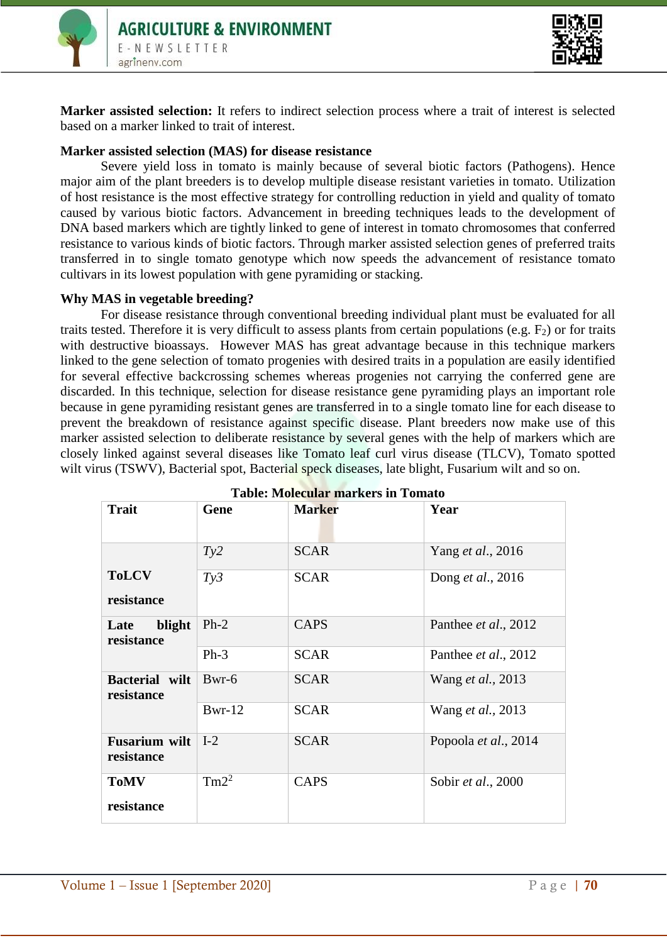



**Marker assisted selection:** It refers to indirect selection process where a trait of interest is selected based on a marker linked to trait of interest.

### **Marker assisted selection (MAS) for disease resistance**

Severe yield loss in tomato is mainly because of several biotic factors (Pathogens). Hence major aim of the plant breeders is to develop multiple disease resistant varieties in tomato. Utilization of host resistance is the most effective strategy for controlling reduction in yield and quality of tomato caused by various biotic factors. Advancement in breeding techniques leads to the development of DNA based markers which are tightly linked to gene of interest in tomato chromosomes that conferred resistance to various kinds of biotic factors. Through marker assisted selection genes of preferred traits transferred in to single tomato genotype which now speeds the advancement of resistance tomato cultivars in its lowest population with gene pyramiding or stacking.

# **Why MAS in vegetable breeding?**

For disease resistance through conventional breeding individual plant must be evaluated for all traits tested. Therefore it is very difficult to assess plants from certain populations (e.g.  $F_2$ ) or for traits with destructive bioassays. However MAS has great advantage because in this technique markers linked to the gene selection of tomato progenies with desired traits in a population are easily identified for several effective backcrossing schemes whereas progenies not carrying the conferred gene are discarded. In this technique, selection for disease resistance gene pyramiding plays an important role because in gene pyramiding resistant genes are transferred in to a single tomato line for each disease to prevent the breakdown of resistance against specific disease. Plant breeders now make use of this marker assisted selection to deliberate resistance by several genes with the help of markers which are closely linked against several diseases like Tomato leaf curl virus disease (TLCV), Tomato spotted wilt virus (TSWV), Bacterial spot, Bacterial speck diseases, late blight, Fusarium wilt and so on.

| <b>Trait</b>                       | Gene     | <b>Marker</b> | Year                      |
|------------------------------------|----------|---------------|---------------------------|
|                                    | Ty2      | <b>SCAR</b>   | Yang et al., 2016         |
| <b>ToLCV</b><br>resistance         | Ty3      | <b>SCAR</b>   | Dong <i>et al.</i> , 2016 |
| blight<br>Late<br>resistance       | $Ph-2$   | <b>CAPS</b>   | Panthee et al., 2012      |
|                                    | $Ph-3$   | <b>SCAR</b>   | Panthee et al., 2012      |
| Bacterial wilt<br>resistance       | $Bwr-6$  | <b>SCAR</b>   | Wang et al., 2013         |
|                                    | $Bwr-12$ | <b>SCAR</b>   | Wang <i>et al.</i> , 2013 |
| <b>Fusarium wilt</b><br>resistance | $I-2$    | <b>SCAR</b>   | Popoola et al., 2014      |
| <b>ToMV</b><br>resistance          | $Tm2^2$  | <b>CAPS</b>   | Sobir et al., 2000        |

| <b>Table: Molecular markers in Tomato</b> |  |  |
|-------------------------------------------|--|--|
|-------------------------------------------|--|--|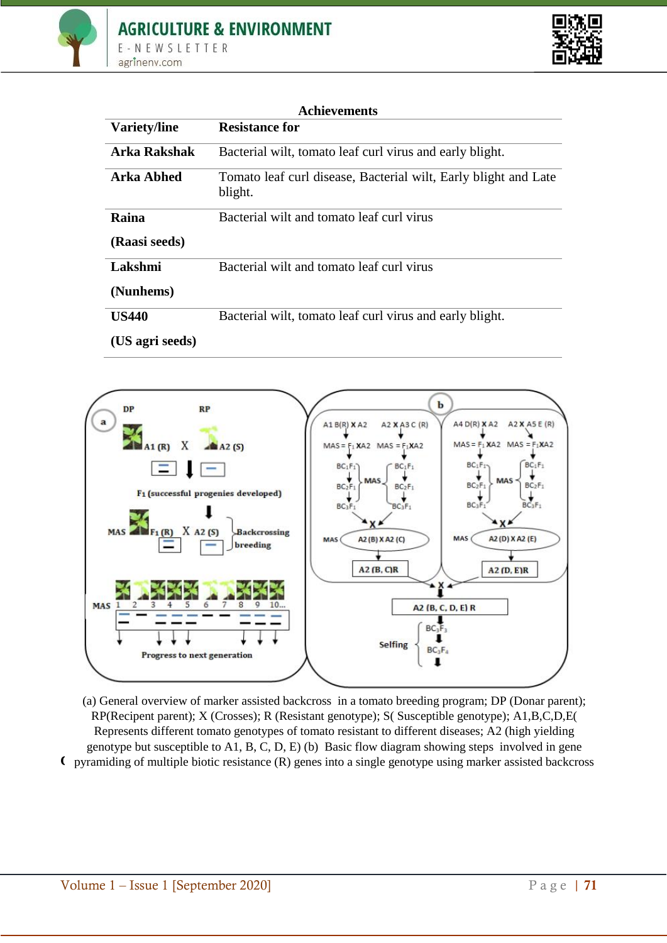



| <b>Achievements</b> |                                                                            |  |
|---------------------|----------------------------------------------------------------------------|--|
| Variety/line        | <b>Resistance for</b>                                                      |  |
| <b>Arka Rakshak</b> | Bacterial wilt, tomato leaf curl virus and early blight.                   |  |
| <b>Arka Abhed</b>   | Tomato leaf curl disease, Bacterial wilt, Early blight and Late<br>blight. |  |
| Raina               | Bacterial wilt and tomato leaf curl virus                                  |  |
| (Raasi seeds)       |                                                                            |  |
| Lakshmi             | Bacterial wilt and tomato leaf curl virus                                  |  |
| (Nunhems)           |                                                                            |  |
| <b>US440</b>        | Bacterial wilt, tomato leaf curl virus and early blight.                   |  |
| (US agri seeds)     |                                                                            |  |



**C** pyramiding of multiple biotic resistance (R) genes into a single genotype using marker assisted backcross (a) General overview of marker assisted backcross in a tomato breeding program; DP (Donar parent); RP(Recipent parent); X (Crosses); R (Resistant genotype); S( Susceptible genotype); A1,B,C,D,E( Represents different tomato genotypes of tomato resistant to different diseases; A2 (high yielding genotype but susceptible to A1, B, C, D, E) (b) Basic flow diagram showing steps involved in gene